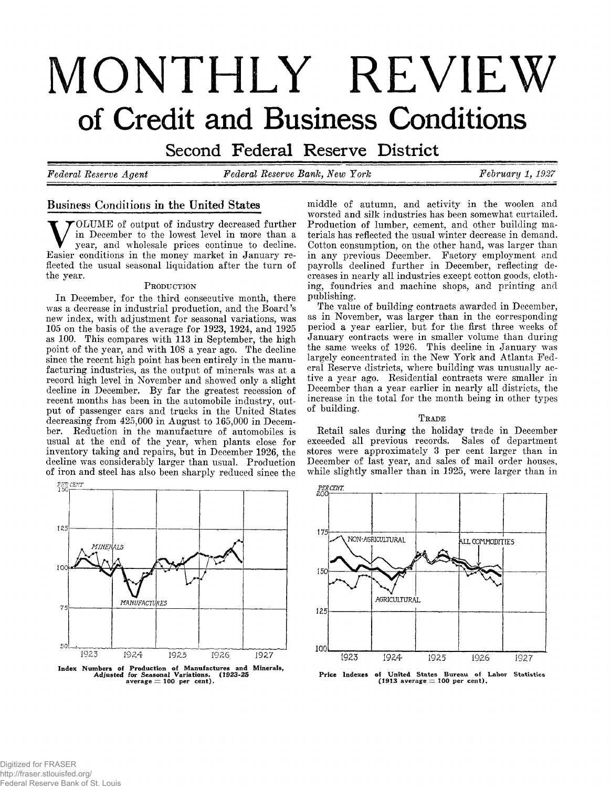# **MONTHLY REVIEW** of Credit and Business Conditions

Second Federal Reserve District

*Federal Reserve Agent Federal Reserve Bank, New York February 1, 1927*

# **Business Conditions ip the United States**

V **OLUME of output of industry decreased further in December to the lowest level in more than a year, and wholesale prices continue to decline. Easier conditions in the money market in January reflected the usual seasonal liquidation after the turn of the year.**

## PRODUCTION

**In December, for the third consecutive month, there was a decrease in industrial production, and the Board's new index, with adjustment for seasonal variations, was 105 on the basis of the average for 1923, 1924, and 1925 as 100. This compares with 113 in September, the high point of the year, and with 108 a year ago. The decline since the recent high point has been entirely in the manufacturing industries, as the output of minerals was at a record high level in November and showed only a slight decline in December. By far the greatest recession of recent months has been in the automobile industry, output of passenger cars and trucks in the United States decreasing from 425,000 in August to 165,000 in December. Reduction in the manufacture of automobiles is usual at the end of the year, when plants close for inventory taking and repairs, but in December 1926, the decline was considerably larger than usual. Production of iron and steel has also been sharply reduced since the**



Index Numbers of Production of Manufactures and Minerals, Adjusted for Seasonal Variations. (1923-25 average — 100 per cent).

**middle of autumn, and activity in the woolen and worsted and silk industries has been somewhat curtailed. Production of lumber, cement, and other building materials has reflected the usual winter decrease in demand. Cotton consumption, on the other hand, was larger than in any previous December. Factory employment and payrolls declined further in December, reflecting decreases in nearly all industries except cotton goods, clothing, foundries and machine shops, and printing and publishing.**

**The value of building contracts awarded in December, as in November, was larger than in the corresponding period a year earlier, but for the first three weeks of January contracts were in smaller volume than during the same weeks of 1926. This decline in January was largely concentrated in the New York and Atlanta Federal Reserve districts, where building was unusually active a year ago. Residential contracts were smaller in December than a year earlier in nearly all districts, the increase in the total for the month being in other types of building.**

#### TRADE

**Retail sales during the holiday trade in December exceeded all previous records. Sales of department stores were approximately 3 per cent larger than in December of last year, and sales of mail order houses, while slightly smaller than in 1925, were larger than in**



Price Indexes of United States Bureau of Labor Statistics (1913 average — 100 per cent).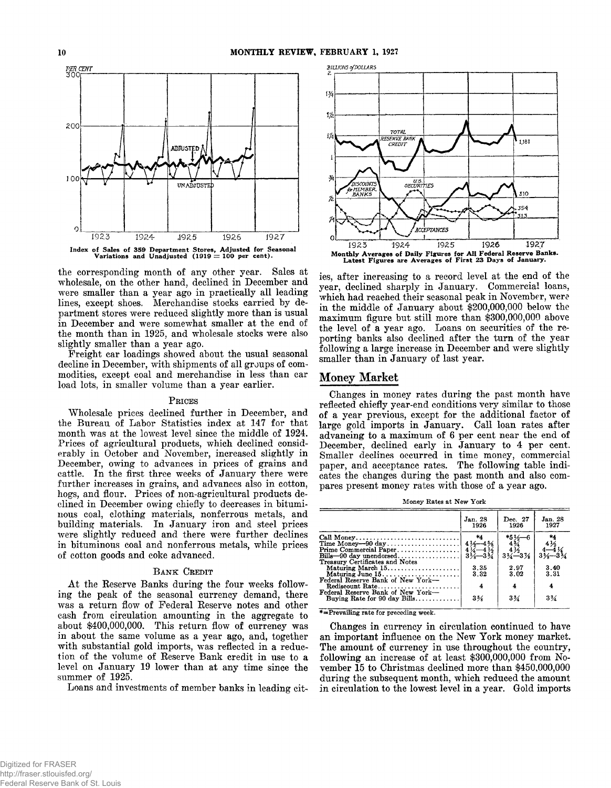

the corresponding month of any other year. Sales at wholesale, on the other hand, declined in December and were smaller than a year ago in practically all leading lines, except shoes. Merchandise stocks carried by department stores were reduced slightly more than is usual in December and were somewhat smaller at the end of the month than in 1925, and wholesale stocks were also slightly smaller than a year ago.

Freight car loadings showed about the usual seasonal decline in December, with shipments of all groups of commodities, except coal and merchandise in less than car load lots, in smaller volume than a year earlier.

## PRICES

Wholesale prices declined further in December, and the Bureau of Labor Statistics index at 147 for that month was at the lowest level since the middle of 1924. Prices of agricultural products, which declined considerably in October and November, increased slightly in December, owing to advances in prices of grains and cattle. In the first three weeks of January there were further increases in grains, and advances also in cotton, hogs, and flour. Prices of non-agricultural products declined in December owing chiefly to decreases in bituminous coal, clothing materials, nonferrous metals, and building materials. In January iron and steel prices were slightly reduced and there were further declines in bituminous coal and nonferrous metals, while prices of cotton goods and coke advanced.

## BANK CREDIT

At the Reserve Banks during the four weeks following the peak of the seasonal currency demand, there was a return flow of Federal Reserve notes and other cash from circulation amounting in the aggregate to about \$400,000,000. This return flow of currency was in about the same volume as a year ago, and, together with substantial gold imports, was reflected in a reduction of the volume of Reserve Bank credit in use to a level on January 19 lower than at any time since the summer of 1925.

Loans and investments of member banks in leading cit-



ies, after increasing to a record level at the end of the year, declined sharply in January. Commercial loans, which had reached their seasonal peak in November, were in the middle of January about \$200,000,000 below the maximum figure but still more than \$300,000,000 above the level of a year ago. Loans on securities of the reporting banks also declined after the turn of the year following a large increase in December and were slightly smaller than in January of last year.

# **Money Market**

Changes in money rates during the past month have reflected chiefly year-end conditions very similar to those of a year previous, except for the additional factor of large gold imports in January. Call loan rates after advancing to a maximum of 6 per cent near the end of December, declined early in January to 4 per cent. Smaller declines occurred in time money, commercial paper, and acceptance rates. The following table indicates the changes during the past month and also compares present money rates with those of a year ago.

Money Rates at New York

|                                                                                           | Jan. 28<br>1926                     | Dec. 27<br>1926                                  | Jan. 28<br>1927                                  |
|-------------------------------------------------------------------------------------------|-------------------------------------|--------------------------------------------------|--------------------------------------------------|
| Call Money<br>Time Money-90 day                                                           | *4<br>$4\frac{1}{2} - 4\frac{5}{8}$ | $*5\frac{1}{4}$<br>4 $\frac{3}{4}$               | *4                                               |
| $Bills - 90$ day unendorsed<br>Treasury Certificates and Notes                            |                                     | $\frac{4\frac{1}{2}}{3\frac{3}{4}-3\frac{1}{8}}$ | $\frac{4\frac{1}{2}}{3\frac{1}{2}-3\frac{1}{2}}$ |
| Maturing March 15                                                                         | 3.35<br>3.32                        | 2.97<br>3.02                                     | 3.40<br>3.31                                     |
| Federal Reserve Bank of New York-<br>Rediscount Rate<br>Federal Reserve Bank of New York- | 4                                   | 4                                                |                                                  |
| Buying Rate for 90 day Bills                                                              | $3\%$                               | $3\%$                                            | $3\frac{3}{4}$                                   |

 $* =$  Prevailing rate for preceding week.

Changes in currency in circulation continued to have an important influence on the New York money market. The amount of currency in use throughout the country, following an increase of at least \$300,000,000 from November 15 to Christmas declined more than \$450,000,000 during the subsequent month, which reduced the amount in circulation to the lowest level in a year. Gold imports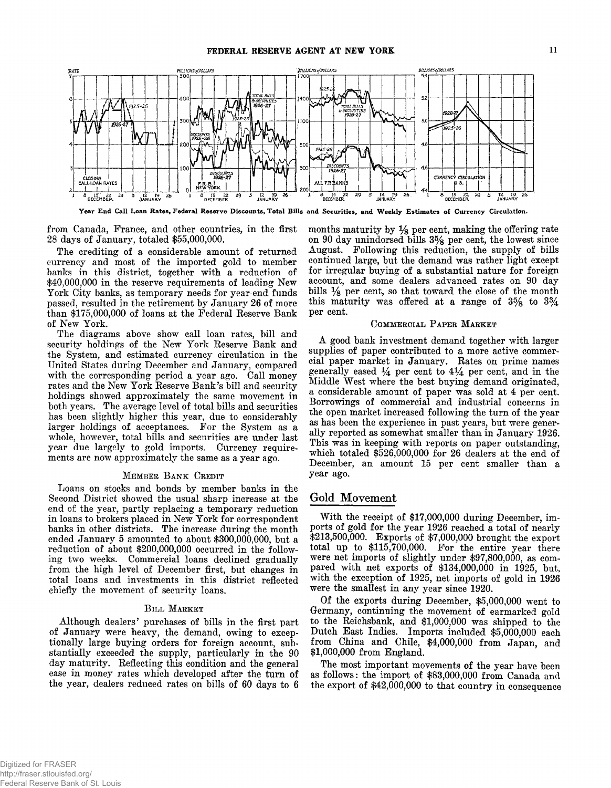

Year End Call Loan Rates, Federal Reserve Discounts, Total Bills and Securities, and Weekly Estimates of Currency Circulation.

from Canada, France, and other countries, in the first 28 days of January, totaled \$55,000,000.

The crediting of a considerable amount of returned currency and most of the imported gold to member banks in this district, together with a reduction of \$40,000,000 in the reserve requirements of leading New York City banks, as temporary needs for year-end funds passed, resulted in the retirement by January 26 of more than \$175,000,000 of loans at the Federal Eeserve Bank of New York.

The diagrams above show call loan rates, bill and security holdings of the New York Eeserve Bank and the System, and estimated currency circulation in the United States during December and January, compared with the corresponding period a year ago. Call money rates and the New York Eeserve Bank's bill and security holdings showed approximately the same movement in both years. The average level of total bills and securities has been slightly higher this year, due to considerably larger holdings of acceptances. For the System as a whole, however, total bills and securities are under last year due largely to gold imports. Currency requirements are now approximately the same as a year ago.

## **M ember B a n k Credit**

Loans on stocks and bonds by member banks in the Second District showed the usual sharp increase at the end of the year, partly replacing a temporary reduction in loans to brokers placed in New York for correspondent banks in other districts. The increase during the month ended January 5 amounted to about \$300,000,000, but a reduction of about \$200,000,000 occurred in the following two weeks. Commercial loans declined gradually from the high level of December first, but changes in total loans and investments in this district reflected chiefly the movement of security loans.

## **B ill M arket**

Although dealers' purchases of bills in the first part of January were heavy, the demand, owing to exceptionally large buying orders for foreign account, substantially exceeded the supply, particularly in the 90 day maturity. Eeflecting this condition and the general ease in money rates which developed after the turn of the year, dealers reduced rates on bills of 60 days to 6 months maturity by *%* per cent, making the offering rate on 90 day unindorsed bills 3% per cent, the lowest since August. Following this reduction, the supply of bills continued large, but the demand was rather light except for irregular buying of a substantial nature for foreign account, and some dealers advanced rates on 90 day bills *Ys* per cent, so that toward the close of the month this maturity was offered at a range of  $3\frac{5}{8}$  to  $3\frac{3}{4}$ per cent.

## **Com mercial P aper M arket**

A good bank investment demand together with larger supplies of paper contributed to a more active commercial paper market in January. Eates on prime names generally eased  $\frac{1}{4}$  per cent to  $4\frac{1}{4}$  per cent, and in the Middle West where the best buying demand originated, a considerable amount of paper was sold at 4 per cent. Borrowings of commercial and industrial concerns in the open market increased following the turn of the year as has been the experience in past years, but were generally reported as somewhat smaller than in January 1926. This was in keeping with reports on paper outstanding, which totaled \$526,000,000 for 26 dealers at the end of December, an amount 15 per cent smaller than a year ago.

# **Gold Movement**

With the receipt of \$17,000,000 during December, imports of gold for the year 1926 reached a total of nearly \$213,500,000. Exports of \$7,000,000 brought the export total up to \$115,700,000. For the entire year there were net imports of slightly under \$97,800,000, as compared with net exports of \$134,000,000 in 1925, but, with the exception of 1925, net imports of gold in 1926 were the smallest in any year since 1920.

Of the exports during December, \$5,000,000 went to Germany, continuing the movement of earmarked gold to the Eeichsbank, and \$1,000,000 was shipped to the Dutch East Indies. Imports included \$5,000,000 each from China and Chile, \$4,000,000 from Japan, and \$1,000,000 from England.

The most important movements of the year have been as follows: the import of \$83,000,000 from Canada and the export of \$42,000,000 to that country in consequence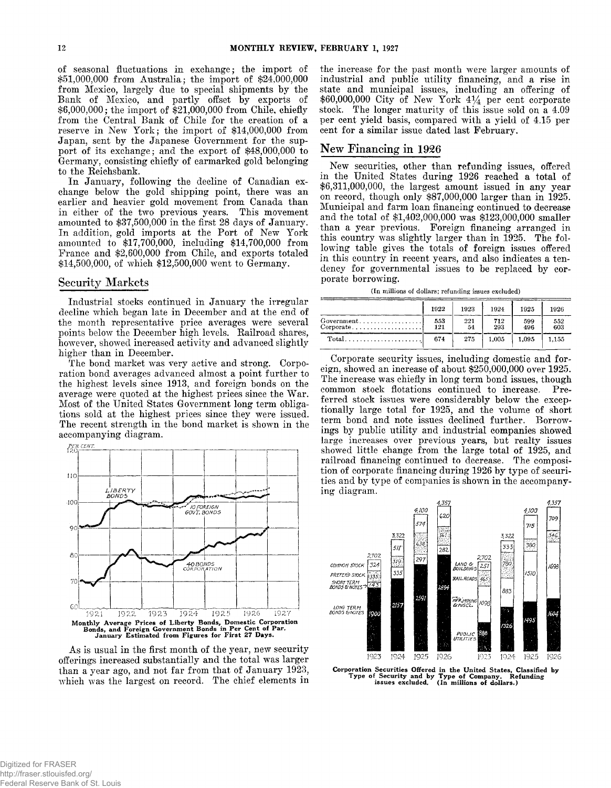of seasonal fluctuations in exchange; the import of \$5.1,000,000 from Australia; the import of \$24,000,000 from Mexico, largely due to special shipments by the Bank of Mexico, and partly offset by exports of \$6,000,000; the import of \$21,000,000 from Chile, chiefly from the Central Bank of Chile for the creation of a reserve in New York; the import of \$14,000,000 from Japan, sent by the Japanese Government for the support of its exchange; and the export of \$48,000,000 to Germany, consisting chiefly of earmarked gold belonging to the Reichsbank.

In January, following the decline of Canadian exchange below the gold shipping point, there was an earlier and heavier gold movement from Canada than in either of the two previous years. This movement amounted to  $$37,500,000$  in the first 28 days of January. In addition, gold imports at the Port of New York amounted to \$17,700,000, including \$14,700,000 from France and \$2,600,000 from Chile, and exports totaled \$14,500,000, of which \$12,500,000 went to Germany.

# **Security Markets**

Industrial stocks continued in January the irregular decline which began late in December and at the end of the month representative price averages were several points below the December high levels. Railroad shares, however, showed increased activity and advanced slightly higher than in December.

The bond market was very active and strong. Corporation bond averages advanced almost a point further to the highest levels since 1913, and foreign bonds on the average were quoted at the highest prices since the War. Most of the United States Government long term obligations sold at the highest prices since they were issued. The recent strength in the bond market is shown in the accompanying diagram.



As is usual in the first month of the year, new security offerings increased substantially and the total was larger than a year ago, and not far from that of January 1923, which was the largest on record. The chief elements in

the increase for the past month were larger amounts of industrial and public utility financing, and a rise in state and municipal issues, including an offering of \$60,000,000 City of New York *4%* per cent corporate stock. The longer maturity of this issue sold on a 4.09 per cent yield basis, compared with a yield of 4.15 per cent for a similar issue dated last February.

# **New Financing in 1926**

New securities, other than refunding issues, offered in the United States during 1926 reached a total of \$6,311,000,000, the largest amount issued in any year on record, though only \$87,000,000 larger than in 1925. Municipal and farm loan financing continued to decrease and the total of \$1,402,000,000 was \$123,000,000 smaller than a year previous. Foreign financing arranged in this country was slightly larger than in 1925. The following table gives the totals of foreign issues offered in this country in recent years, and also indicates a tendency for governmental issues to be replaced by corporate borrowing.

**(In millions of dollars; refunding issues excluded)**

|                                                                                               | 1922       | 1923      | 1924       | 1925       | 1926       |
|-----------------------------------------------------------------------------------------------|------------|-----------|------------|------------|------------|
| $Government \dots \dots \dots \dots \dots$<br>$Corporate. \ldots \ldots \ldots \ldots \ldots$ | 553<br>121 | 221<br>54 | 712<br>293 | 599<br>496 | 552<br>603 |
| $Total \dots \dots \dots \dots \dots \dots \dots$                                             | 674        | 275       | 1.005      | 1.095      | 1.155      |

Corporate security issues, including domestic and foreign, showed an increase of about \$250,000,000 over 1925. The increase was chiefly in long term bond issues, though common stock flotations continued to increase, Preferred stock issues were considerably below the exceptionally large total for 1925, and the volume of short term bond and note issues declined further. Borrowings by public utility and industrial companies showed large increases over previous years, but realty issues showed little change from the large total of 1925, and railroad financing continued to decrease. The composition of corporate financing during 1926 by type of securities and by type of companies is shown in the accompanying diagram.



Corporation Securities Offered in the United States, Classified by Type of Security and by Type of Company. Refunding issues excluded. (In millions of dollars.)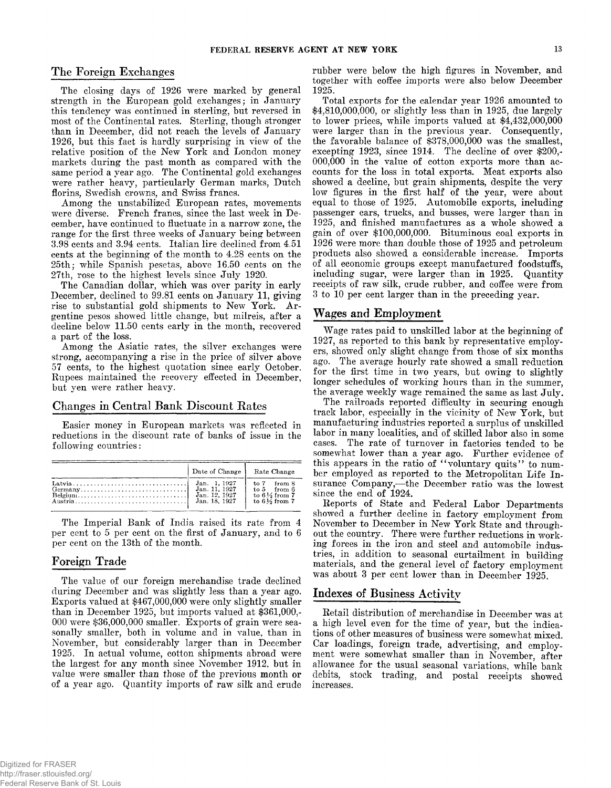## The Foreign Exchanges

The closing days of 1926 were marked by general strength in the European gold exchanges; in January this tendency was continued in sterling, but reversed in most of the Continental rates. Sterling, though stronger than in December, did not reach the levels of January 1926, but this fact is hardly surprising in view of the relative position of the New York and London money markets during the past month as compared with the same period a year ago. The Continental gold exchanges were rather heavy, particularly German marks, Dutch florins, Swedish crowns, and Swiss francs.

Among the unstabilized European rates, movements were diverse. French francs, since the last week in December, have continued to fluctuate in a narrow zone, the range for the first three weeks of January being between 3.98 cents and 3.94 cents. Italian lire declined from 4.51 cents at the beginning of the month to 4.28 cents on the 25th; while Spanish pesetas, above 16.50 cents on the 27th, rose to the highest levels since July 1920.

The Canadian dollar, which was over parity in early December, declined to 99.81 cents on January 11, giving rise to substantial gold shipments to New York. Argentine pesos showed little change, but milreis, after a decline below 11.50 cents early in the month, recovered a part of the loss.

Among the Asiatic rates, the silver exchanges were strong, accompanying a rise in the price of silver above 57 cents, to the highest quotation since early October. Rupees maintained the recovery effected in December, but yen were rather heavy.

# **Changes in Central Bank Discount Rates**

Easier money in European markets was reflected in reductions in the discount rate of banks of issue in the following countries:

| Date of Change   Rate Change   |                                                                                                  |
|--------------------------------|--------------------------------------------------------------------------------------------------|
| Jan. 12, 1927<br>Jan. 18, 1927 | $to 7$ from $8$<br>$\text{to } 5$ from 6<br>to $6\frac{1}{2}$ from 7<br>to $6\frac{1}{6}$ from 7 |

The Imperial Bank of India raised its rate from 4 per cent to 5 per cent on the first of January, and to 6 per cent on the 13th of the month.

# **Foreign Trade**

The value of our foreign merchandise trade declined during December and was slightly less than a year ago. Exports valued at \$467,000,000 were only slightly smaller than in December 1925, but imports valued at \$361,000,- 000 were \$36,000,000 smaller. Exports of grain were seasonally smaller, both in volume and in value, than in November, but considerably larger than in December 1925. In actual volume, cotton shipments abroad were the largest for any month since November 1912. but in value were smaller than those of the previous month or of a year ago. Quantity imports of raw silk and crude rubber were below the high figures in November, and together with coffee imports were also below December 1925.

Total exports for the calendar year 1926 amounted to \$4,810,000,000, or slightly less than in 1925, due largely to lower prices, while imports valued at \$4,432,000,000 were larger than in the previous year. Consequently, the favorable balance of \$378,000,000 was the smallest, excepting 1923, since 1914. The decline of over \$200,- 000,000 in the value of cotton exports more than accounts for the loss in total exports. Meat exports also showed a decline, but grain shipments, despite the very low figures in the first half of the year, were about equal to those of 1925. Automobile exports, including passenger cars, trucks, and busses, were larger than in 1925, and finished manufactures as a whole showed a gain of over \$100,000,000. Bituminous coal exports in 1926 were more than double those of 1925 and petroleum products also showed a considerable increase. Imports of all economic groups except manufactured foodstuffs, including sugar, were larger than in 1925. Quantity receipts of raw silk, crude rubber, and coffee were from 3 to 10 per cent larger than in the preceding year.

# **Wages and Employment**

Wage rates paid to unskilled labor at the beginning of 1927, as reported to this bank by representative employers, showed only slight change from those of six months ago. The average hourly rate showed a small reduction for the first time in two years, but owing to slightly longer schedules of working hours than in the summer, the average weekly wage remained the same as last July.

The railroads reported difficulty in securing enough track labor, especially in the vicinity of New York, but manufacturing industries reported a surplus of unskilled labor in many localities, and of skilled labor also in some cases. The rate of turnover in factories tended to be somewhat lower than a year ago. Further evidence of this appears in the ratio of "voluntary quits" to number employed as reported to the Metropolitan Life Insurance Company,— the December ratio was the lowest since the end of 1924.

Reports of State and Federal Labor Departments showed a further decline in factory employment from November to December in New York State and throughout the country. There were further reductions in working forces in the iron and steel and automobile industries, in addition to seasonal curtailment in building materials, and the general level of factory employment was about 3 per cent lower than in December 1925.

# **Indexes of Business Activity**

Retail distribution of merchandise in December was at a high level even for the time of year, but the indications of other measures of business were somewhat mixed. Car loadings, foreign trade, advertising, and employment were somewhat smaller than in November, after allowance for the usual seasonal variations, while bank debits, stock trading, and postal receipts showed increases.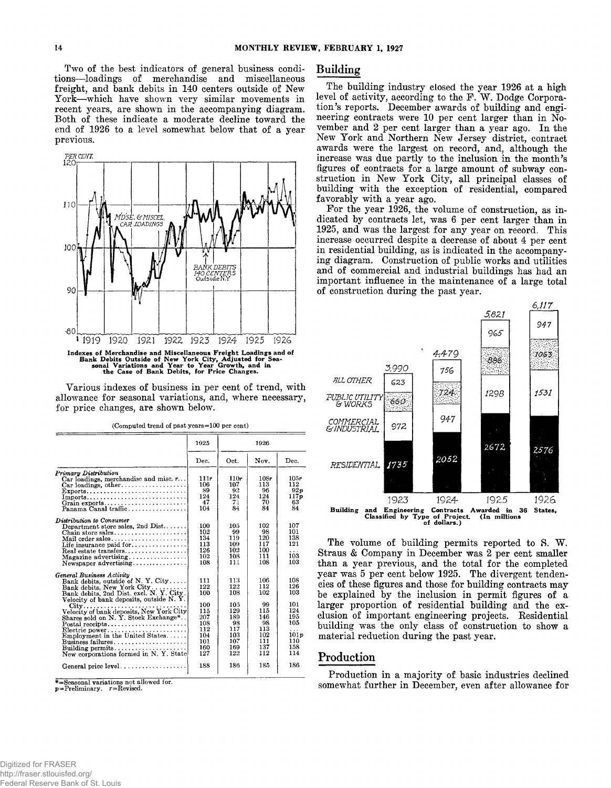**Two of the best indicators of general business conditions— loadings of merchandise and miscellaneous freight, and bank debits in 140 centers outside of New York— which have shown very similar movements in recent years, are shown in the accompanying diagram. Both of these indicate a moderate decline toward the end of 1926 to a level somewhat below that of a year previous.**



**Various indexes of business in per cent of trend, with allowance for seasonal variations, and, where necessary, for price changes, are shown below.**

|                                                                                                                                                                                                                                                                                                                                                                                                                                                                  | 1925<br>1926                                                                     |                                                                                 |                                                                                |                                                                                 |  |
|------------------------------------------------------------------------------------------------------------------------------------------------------------------------------------------------------------------------------------------------------------------------------------------------------------------------------------------------------------------------------------------------------------------------------------------------------------------|----------------------------------------------------------------------------------|---------------------------------------------------------------------------------|--------------------------------------------------------------------------------|---------------------------------------------------------------------------------|--|
|                                                                                                                                                                                                                                                                                                                                                                                                                                                                  | Dec.                                                                             | Oct.                                                                            | Nov.                                                                           | Dec.                                                                            |  |
| Primary Distribution<br>Car loadings, merchandise and misc. $r$<br>$Exports$<br>Imports<br>Grain exports<br>Panama Canal traffic                                                                                                                                                                                                                                                                                                                                 | 111r<br>106<br>89<br>124<br>47<br>104                                            | 110r<br>107<br>92<br>124<br>71<br>84                                            | 108r<br>113<br>96<br>124<br>70<br>84                                           | 105r<br>112<br>92p<br>117p<br>63<br>84                                          |  |
| Distribution to Consumer<br>Department store sales, 2nd Dist<br>Chain store sales<br>Life insurance paid for<br>Real estate transfers<br>Magazine advertising $\ldots \ldots \ldots \ldots$<br>Newspaper advertising                                                                                                                                                                                                                                             | 100<br>102<br>134<br>113<br>126<br>102<br>108                                    | 105<br>99<br>119<br>109<br>102<br>108<br>111                                    | 102<br>98<br>120<br>117<br>100<br>111<br>108                                   | 107<br>101<br>138<br>121<br>.<br>103<br>103                                     |  |
| General Business Activity<br>Bank debits, outside of N.Y. City<br>Bank debits, New York City<br>Bank debits, 2nd Dist. excl. N. Y. City.<br>Velocity of bank deposits, outside N.Y.<br>Velocity of bank deposits, New York City<br>Shares sold on N. Y. Stock Exchange*<br>$\text{Postal receipts} \dots \dots \dots \dots \dots \dots \dots$<br>Electric power<br>Employment in the United States<br>Business failures<br>New corporations formed in N.Y. State | 111<br>122<br>100<br>100<br>115<br>207<br>108<br>112<br>104<br>101<br>160<br>127 | 113<br>122<br>108<br>105<br>129<br>189<br>98<br>117<br>103<br>107<br>169<br>122 | 106<br>112<br>102<br>99<br>115<br>146<br>98<br>113<br>102<br>111<br>137<br>112 | 108<br>126<br>103<br>101<br>124<br>195<br>105<br>.<br>101p<br>110<br>158<br>114 |  |
| General price level                                                                                                                                                                                                                                                                                                                                                                                                                                              | 188                                                                              | 186                                                                             | 185                                                                            | 186                                                                             |  |

**\*==Seasonal variations not allowed for.**

**p=Preliminary. r=Revised.**

# **Building**

**The building industry closed the year 1926 at a high** level of activity, according to the F. W. Dodge Corpora**tion's reports. December awards of building and engineering contracts were 10 per cent larger than in November and 2 per cent larger than a year ago. In the New York and Northern New Jersey district, contract awards were the largest on record, and, although the increase was due partly to the inclusion in the month's figures of contracts for a large amount of subway construction in New York City, all principal classes of building with the exception of residential, compared favorably with a year ago.**

**For the year 1926, the volume of construction, as indicated by contracts let, was 6 per cent larger than in 1925, and was the largest for any year on record. This increase occurred despite a decrease of about 4 per cent in residential building, as is indicated in the accompanying diagram. Construction of public works and utilities and of commercial and industrial buildings has had an important influence in the maintenance of a large total of construction during the past year.**



The volume of building permits reported to S. W. **Straus & Company in December was 2 per cent smaller than a year previous, and the total for the completed year was 5 per cent below 1925. The divergent tendencies of these figures and those for building contracts may be explained by the inclusion in permit figures of a larger proportion of residential building and the exclusion of important engineering projects. Residential building was the only class of construction to show a material reduction during the past year.**

# **Production**

**Production in a majority of basic industries declined somewhat further in December, even after allowance for**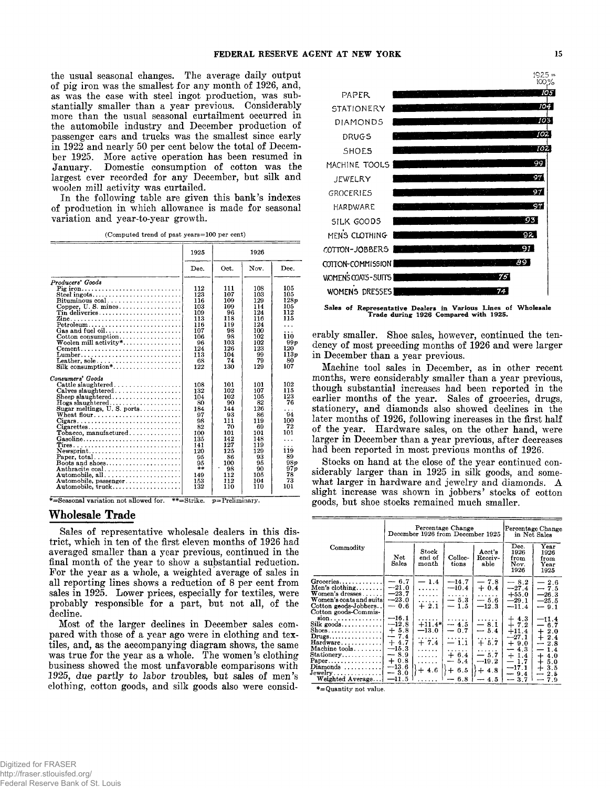the usual seasonal changes. The average daily output of pig iron was the smallest for any month of 1926, and, as was the case with steel ingot production, was substantially smaller than a year previous. Considerably more than the usual seasonal curtailment occurred in the automobile industry and December production of passenger cars and trucks was the smallest since early in 1922 and nearly 50 per cent below the total of December 1925. More active operation has been resumed in January. Domestic consumption of cotton was the largest ever recorded for any December, but silk and woolen mill activity was curtailed.

In the following table are given this bank's indexes of production in which allowance is made for seasonal variation and year-to-year growth.

(Computed trend of past years=100 per cent)

|                                                                                 | 1925 |                                        | 1926 |                  |
|---------------------------------------------------------------------------------|------|----------------------------------------|------|------------------|
|                                                                                 | Dec. | Oct.                                   | Nov. | Dec.             |
| Producers' Goods                                                                |      |                                        |      |                  |
| Pig iron                                                                        | 112  | 111                                    | 108  | 105              |
| Steel ingots                                                                    | 123  | 107                                    | 103  | 105              |
| $Bituminous coal.$                                                              | 116  | 109                                    | 129  | 128 <sub>p</sub> |
|                                                                                 | 103  | 109                                    | 114  | 105              |
|                                                                                 | 109  | 96                                     | 124  | 112              |
|                                                                                 | 113  | 118                                    | 116  | 115              |
| Petroleum                                                                       | 116  | 119                                    | 124  | .                |
| Gas and fuel oil                                                                | 107  | 98                                     | 100  | .                |
| Cotton consumption                                                              | 106  | 98                                     | 102  | 110              |
| $\mathbf W$ oolen mill activity*                                                | 96   | 103                                    | 102  | 99 p             |
| $\mathbf{Cement}$                                                               | 124  | 126                                    | 123  | 120              |
|                                                                                 | 113  | 104                                    | 99   | 113 <sub>p</sub> |
| Leather, sole                                                                   | 68   | 74                                     | 79   | 80               |
| Silk consumption*                                                               | 122  | 130                                    | 129  | 107              |
| Consumers' Goods                                                                |      |                                        |      |                  |
|                                                                                 | 108  | 101                                    | 101  | 102              |
|                                                                                 | 132  | 102                                    | 107  | 115              |
| Sheep slaughtered                                                               | 104  | 102                                    | 105  | 123              |
| Hogs slaughtered<br>Sugar meltings, U.S. ports                                  | 80   | 90                                     | 82   | 76               |
|                                                                                 | 184  | 144                                    | 126  | .                |
| Wheat flour                                                                     | 97   | 93                                     | 86   | 94               |
| $Cigars \ldots \ldots \ldots \ldots \ldots \ldots \ldots \ldots \ldots$         | 98   | 111                                    | 119  | 100              |
| $Cigaretes \ldots \ldots \ldots \ldots \ldots \ldots \ldots \ldots \ldots$      | 82   | 70                                     | 69   | 72               |
|                                                                                 | 100  | 101                                    | 101  | 101              |
| Gasoline                                                                        | 135  | 142                                    | 148  | $\cdots$         |
|                                                                                 | 141  | 127                                    | 119  |                  |
| ${\bf New spirit.} \dots \dots \dots \dots \dots \dots \dots \dots \dots \dots$ | 120  | 125                                    | 129  | 119              |
| Paper, total                                                                    | 95   | 86                                     | 93   | 89               |
| Boots and shoes                                                                 | 95   | 100<br>$\centering \label{eq:reduced}$ | 95   | 98p              |
| Anthracite coal                                                                 | $**$ | 98                                     | 90   | 97p              |
| Automobile. all                                                                 | 149  | 112                                    | 105  | 78               |
| Automobile, passenger                                                           | 153  | 112                                    | 104  | 73               |
| Automobile, truck                                                               | 132  | 110                                    | 110  | 101              |

\*=Seasonal variation not allowed for. \* \* = Strike. *p =* Preliminary.

# **Wholesale Trade**

Sales of representative wholesale dealers in this district, which in ten of the first eleven months of 1926 had averaged smaller than a year previous, continued in the final month of the year to show a substantial reduction. For the year as a whole, a weighted average of sales in all reporting lines shows a reduction of 8 per cent from sales in 1925. Lower prices, especially for textiles, were probably responsible for a part, but not all, of the decline.

Most of the larger declines in December sales compared with those of a year ago were in clothing and textiles, and, as the accompanying diagram shows, the same was true for the year as a whole. The women's clothing business showed the most unfavorable comparisons with 1925, due partly to labor troubles, but sales of men's clothing, cotton goods, and silk goods also were consid-



Sales of Representative Dealers in Various Lines of Wholesale Trade during 1926 Compared with 1925.

erably smaller. Shoe sales, however, continued the tendency of most preceding months of 1926 and were larger in December than a year previous.

Machine tool sales in December, as in other recent months, were considerably smaller than a year previous, though substantial increases had been reported in the earlier months of the year. Sales of groceries, drugs, stationery, and diamonds also showed declines in the later months of 1926, following increases in the first half of the year. Hardware sales, on the other hand, were larger in December than a year previous, after decreases had been reported in most previous months of 1926.

Stocks on hand at the close of the year continued considerably larger than in 1925 in silk goods, and somewhat larger in hardware and jewelry and diamonds. A slight increase was shown in jobbers' stocks of cotton goods, but shoe stocks remained much smaller.

|                                                                                                                                                                                                                                                                         | Percentage Change<br>December 1926 from December 1925                                                           |                                                                               |                                                                                          |                                                                                    | Percentage Change<br>in Net Sales                                                                             |                                                                                                                                                                |
|-------------------------------------------------------------------------------------------------------------------------------------------------------------------------------------------------------------------------------------------------------------------------|-----------------------------------------------------------------------------------------------------------------|-------------------------------------------------------------------------------|------------------------------------------------------------------------------------------|------------------------------------------------------------------------------------|---------------------------------------------------------------------------------------------------------------|----------------------------------------------------------------------------------------------------------------------------------------------------------------|
| Commodity                                                                                                                                                                                                                                                               | <b>Net</b><br>Sales                                                                                             | $_{\rm Stock}$<br>end of<br>$\n  month\n$                                     | Collec-<br>tions                                                                         | Acct's<br>Receiv-<br>able                                                          | Dec.<br>1926<br>from<br>Nov.<br>1926                                                                          | Year<br>1926<br>from<br>Year<br>1925                                                                                                                           |
| $Groceries \ldots$<br>Men's clothing<br>Women's dresses $\dots$<br>Women's coats and suits<br>Cotton goods-Jobbers<br>Cotton goods-Commis-                                                                                                                              | $-6.7$<br>$-21.0$<br>$-23.7$<br>$-23.0$<br>$-0.6$                                                               | $-1.4$<br>.<br>.<br>.<br>$+2.1$                                               | $-14.7$<br>$-10.4$<br>.<br>$-5.3$<br>$-1.5$                                              | $-7.8$<br>$+0.4$<br>.<br>$-5.6$<br>$-12.3$                                         | $-8.2$<br>$-27.4$<br>$+55.0$<br>$-29.1$<br>$-11.4$                                                            | $-2.6$<br>$-7.5$<br>$-26.3$<br>$-25.5$<br>$-9.1$                                                                                                               |
| $sion \ldots \ldots \ldots \ldots$<br>$Silk$ goods<br>$\text{Shoes.} \dots \dots \dots \dots \dots$<br>$Drugs \ldots \ldots \ldots \ldots$<br>Hardware<br>Machine $tools \ldots \ldots$<br>Stationery<br>Paper.<br>$Diamonds$ ,,,,,,,,,,<br>Jewelry<br>Weighted Average | $-16.1$<br>$-12.8$<br>$+5.8$<br>$-7.4$<br>$+4.7$<br>$-15.3$<br>$-8.9$<br>$+0.8$<br>$-13.6$<br>$-3.0$<br>$-11.5$ | .<br>$+11.4*$<br>$-13.0$<br>1.1.1.1.1<br>$+7.4$<br>.<br>.<br>.<br>$+4.6$<br>. | .<br>$-4.5$<br>$-0.7$<br>.<br>$-1.1$<br>.<br>$+6.4$<br>$-5.4$<br>6.5<br>$\div$<br>$-6.8$ | .<br>$-8.1$<br>$-5.4$<br>.<br>$+5.7$<br>.<br>$-5.7$<br>$-19.2$<br>$+4.8$<br>$-4.5$ | $+4.3$<br>$+7.2$<br>$+11.4$<br>$-27.1$<br>$+9.0$<br>$-4.3$<br>$+1.4$<br>$-1.7$<br>$-17.1$<br>$-9.4$<br>$-3.7$ | $-11.4$<br>$-6.7$<br>$\pm$<br>2.0<br>$+2.4$<br>2.8<br>$\overline{\phantom{a}}$<br>1.4<br>—<br>┿<br>4.0<br>5.0<br>$\div$<br>$\div$<br>3.5<br>2.5<br>-<br>$-7.9$ |

**\*= Quantity not value.**